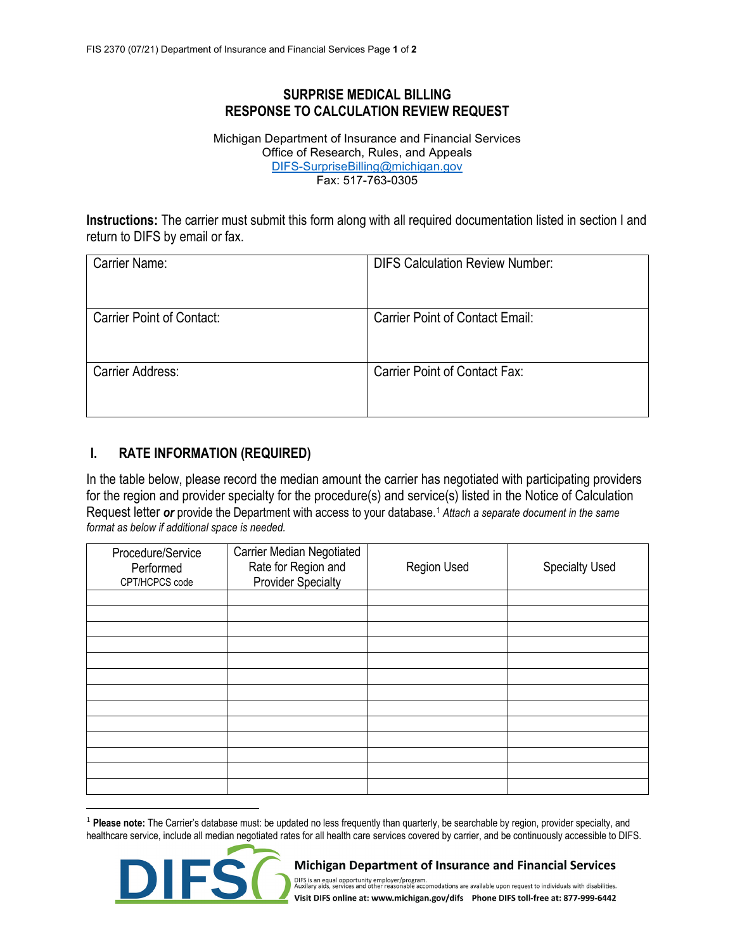## **SURPRISE MEDICAL BILLING RESPONSE TO CALCULATION REVIEW REQUEST**

Michigan Department of Insurance and Financial Services Office of Research, Rules, and Appeals [DIFS-SurpriseBilling@michigan.gov](mailto:DIFS-SurpriseBilling@michigan.gov) Fax: 517-763-0305

**Instructions:** The carrier must submit this form along with all required documentation listed in section I and return to DIFS by email or fax.

| Carrier Name:                    | <b>DIFS Calculation Review Number:</b> |
|----------------------------------|----------------------------------------|
| <b>Carrier Point of Contact:</b> | <b>Carrier Point of Contact Email:</b> |
| Carrier Address:                 | Carrier Point of Contact Fax:          |

## **I. RATE INFORMATION (REQUIRED)**

In the table below, please record the median amount the carrier has negotiated with participating providers for the region and provider specialty for the procedure(s) and service(s) listed in the Notice of Calculation Request letter *or* provide the Department with access to your database. <sup>1</sup> *Attach a separate document in the same format as below if additional space is needed.* 

| Procedure/Service<br>Performed<br>CPT/HCPCS code | <b>Carrier Median Negotiated</b><br>Rate for Region and<br><b>Provider Specialty</b> | <b>Region Used</b> | <b>Specialty Used</b> |
|--------------------------------------------------|--------------------------------------------------------------------------------------|--------------------|-----------------------|
|                                                  |                                                                                      |                    |                       |
|                                                  |                                                                                      |                    |                       |
|                                                  |                                                                                      |                    |                       |
|                                                  |                                                                                      |                    |                       |
|                                                  |                                                                                      |                    |                       |
|                                                  |                                                                                      |                    |                       |
|                                                  |                                                                                      |                    |                       |
|                                                  |                                                                                      |                    |                       |
|                                                  |                                                                                      |                    |                       |
|                                                  |                                                                                      |                    |                       |
|                                                  |                                                                                      |                    |                       |
|                                                  |                                                                                      |                    |                       |
|                                                  |                                                                                      |                    |                       |

<sup>1</sup> **Please note:** The Carrier's database must: be updated no less frequently than quarterly, be searchable by region, provider specialty, and healthcare service, include all median negotiated rates for all health care services covered by carrier, and be continuously accessible to DIFS.



Michigan Department of Insurance and Financial Services

DIFS is an equal opportunity employer/program.<br>Auxilary aids, services and other reasonable accomodations are available upon request to individuals with disabilities. Visit DIFS online at: www.michigan.gov/difs Phone DIFS toll-free at: 877-999-6442